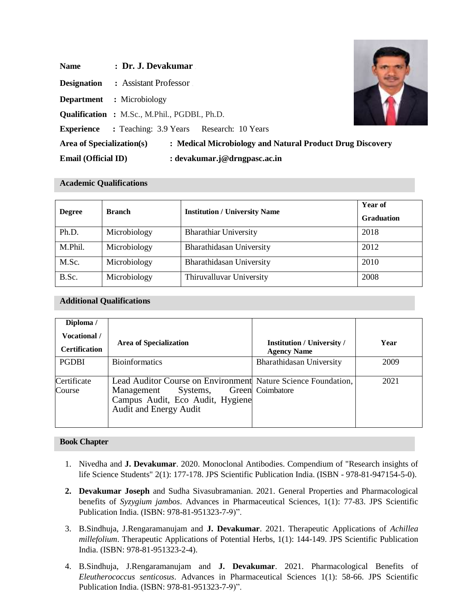| <b>Name</b>                      | : Dr. J. Devakumar                                        |
|----------------------------------|-----------------------------------------------------------|
| <b>Designation</b>               | : Assistant Professor                                     |
| <b>Department</b> : Microbiology |                                                           |
|                                  | <b>Qualification :</b> M.Sc., M.Phil., PGDBI., Ph.D.      |
| <b>Experience</b>                | : Teaching: 3.9 Years Research: 10 Years                  |
| Area of Specialization(s)        | : Medical Microbiology and Natural Product Drug Discovery |
| <b>Email (Official ID)</b>       | : devakumar.j@drngpasc.ac.in                              |

# **Academic Qualifications**

| <b>Degree</b> | <b>Branch</b> | <b>Institution / University Name</b> | Year of<br><b>Graduation</b> |
|---------------|---------------|--------------------------------------|------------------------------|
| Ph.D.         | Microbiology  | <b>Bharathiar University</b>         | 2018                         |
| M.Phil.       | Microbiology  | Bharathidasan University             | 2012                         |
| M.Sc.         | Microbiology  | Bharathidasan University             | 2010                         |
| B.Sc.         | Microbiology  | Thiruvalluvar University             | 2008                         |

# **Additional Qualifications**

| Diploma /             |                                                                                                                                                              |                                   |      |
|-----------------------|--------------------------------------------------------------------------------------------------------------------------------------------------------------|-----------------------------------|------|
| <b>Vocational</b> /   | <b>Area of Specialization</b>                                                                                                                                | <b>Institution / University /</b> | Year |
| <b>Certification</b>  |                                                                                                                                                              | <b>Agency Name</b>                |      |
| <b>PGDBI</b>          | <b>Bioinformatics</b>                                                                                                                                        | Bharathidasan University          | 2009 |
| Certificate<br>Course | Lead Auditor Course on Environment Nature Science Foundation,<br>Systems,<br>Management<br>Campus Audit, Eco Audit, Hygiene<br><b>Audit and Energy Audit</b> | Green Coimbatore                  | 2021 |

## **Book Chapter**

- 1. Nivedha and **J. Devakumar**. 2020. Monoclonal Antibodies. Compendium of "Research insights of life Science Students" 2(1): 177-178. JPS Scientific Publication India. (ISBN - 978-81-947154-5-0).
- **2. Devakumar Joseph** and Sudha Sivasubramanian. 2021. General Properties and Pharmacological benefits of *Syzygium jambos*. Advances in Pharmaceutical Sciences, 1(1): 77-83. JPS Scientific Publication India. (ISBN: 978-81-951323-7-9)".
- 3. B.Sindhuja, J.Rengaramanujam and **J. Devakumar**. 2021. Therapeutic Applications of *Achillea millefolium*. Therapeutic Applications of Potential Herbs, 1(1): 144-149. JPS Scientific Publication India. (ISBN: 978-81-951323-2-4).
- 4. B.Sindhuja, J.Rengaramanujam and **J. Devakumar**. 2021. Pharmacological Benefits of *Eleutherococcus senticosus*. Advances in Pharmaceutical Sciences 1(1): 58-66. JPS Scientific Publication India. (ISBN: 978-81-951323-7-9)".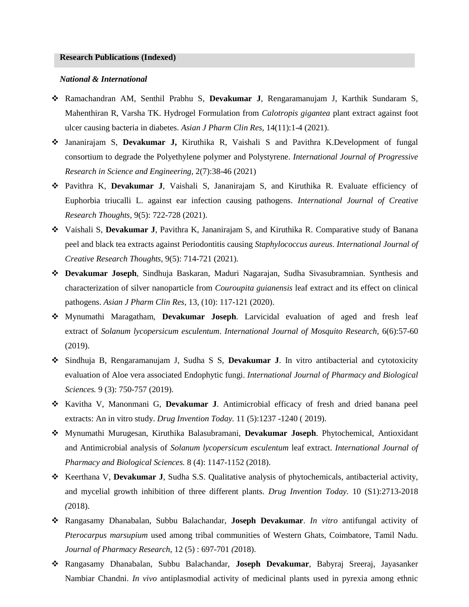#### *National & International*

- ❖ Ramachandran AM, Senthil Prabhu S, **Devakumar J**, Rengaramanujam J, Karthik Sundaram S, Mahenthiran R, Varsha TK. Hydrogel Formulation from *Calotropis gigantea* plant extract against foot ulcer causing bacteria in diabetes*. Asian J Pharm Clin Res,* 14(11):1-4 (2021).
- ❖ Jananirajam S, **Devakumar J,** Kiruthika R, Vaishali S and Pavithra K.Development of fungal consortium to degrade the Polyethylene polymer and Polystyrene. *International Journal of Progressive Research in Science and Engineering,* 2(7):38-46 (2021)
- ❖ Pavithra K, **Devakumar J**, Vaishali S, Jananirajam S, and Kiruthika R. Evaluate efficiency of Euphorbia triucalli L. against ear infection causing pathogens. *International Journal of Creative Research Thoughts,* 9(5): 722-728 (2021).
- ❖ Vaishali S, **Devakumar J**, Pavithra K, Jananirajam S, and Kiruthika R. Comparative study of Banana peel and black tea extracts against Periodontitis causing *Staphylococcus aureus*. *International Journal of Creative Research Thoughts,* 9(5): 714-721 (2021).
- ❖ **Devakumar Joseph**, Sindhuja Baskaran, Maduri Nagarajan, Sudha Sivasubramnian. Synthesis and characterization of silver nanoparticle from *Couroupita guianensis* leaf extract and its effect on clinical pathogens. *Asian J Pharm Clin Res,* 13, (10): 117-121 (2020).
- ❖ Mynumathi Maragatham, **Devakumar Joseph**. Larvicidal evaluation of aged and fresh leaf extract of *Solanum lycopersicum esculentum*. *International Journal of Mosquito Research,* 6(6):57-60 (2019).
- ❖ Sindhuja B, Rengaramanujam J, Sudha S S, **Devakumar J**. In vitro antibacterial and cytotoxicity evaluation of Aloe vera associated Endophytic fungi. *International Journal of Pharmacy and Biological Sciences.* 9 (3): 750-757 (2019).
- ❖ Kavitha V, Manonmani G, **Devakumar J**. Antimicrobial efficacy of fresh and dried banana peel extracts: An in vitro study. *Drug Invention Today.* 11 (5):1237 -1240 ( 2019).
- ❖ Mynumathi Murugesan, Kiruthika Balasubramani, **Devakumar Joseph**. Phytochemical, Antioxidant and Antimicrobial analysis of *Solanum lycopersicum esculentum* leaf extract. *International Journal of Pharmacy and Biological Sciences.* 8 (4): 1147-1152 (2018).
- ❖ Keerthana V, **Devakumar J**, Sudha S.S. Qualitative analysis of phytochemicals, antibacterial activity, and mycelial growth inhibition of three different plants. *Drug Invention Today.* 10 (S1):2713-2018 *(*2018).
- ❖ Rangasamy Dhanabalan, Subbu Balachandar, **Joseph Devakumar**. *In vitro* antifungal activity of *Pterocarpus marsupium* used among tribal communities of Western Ghats, Coimbatore, Tamil Nadu. *Journal of Pharmacy Research,* 12 (5) : 697-701 *(*2018).
- ❖ Rangasamy Dhanabalan, Subbu Balachandar, **Joseph Devakumar**, Babyraj Sreeraj, Jayasanker Nambiar Chandni. *In vivo* antiplasmodial activity of medicinal plants used in pyrexia among ethnic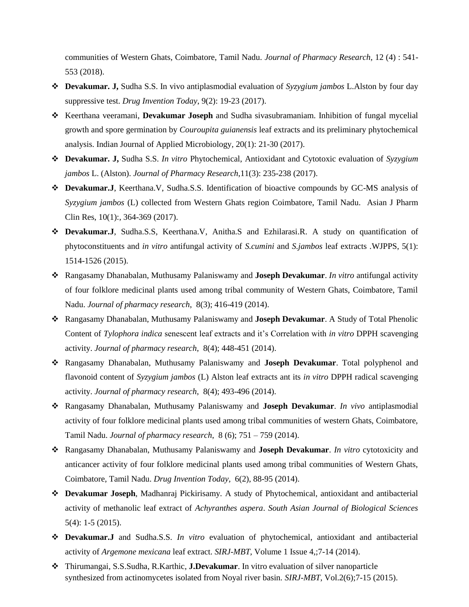communities of Western Ghats, Coimbatore, Tamil Nadu. *Journal of Pharmacy Research,* 12 (4) : 541- 553 (2018).

- ❖ **Devakumar. J,** Sudha S.S. In vivo antiplasmodial evaluation of *Syzygium jambos* L.Alston by four day suppressive test. *Drug Invention Today*, 9(2): 19-23 (2017).
- ❖ Keerthana veeramani, **Devakumar Joseph** and Sudha sivasubramaniam. Inhibition of fungal mycelial growth and spore germination by *Couroupita guianensis* leaf extracts and its preliminary phytochemical analysis. Indian Journal of Applied Microbiology*,* 20(1): 21-30 (2017).
- ❖ **Devakumar. J,** Sudha S.S. *In vitro* Phytochemical, Antioxidant and Cytotoxic evaluation of *Syzygium jambos* L. (Alston). *Journal of Pharmacy Research*,11(3): 235-238 (2017).
- ❖ **Devakumar.J**, Keerthana.V, Sudha.S.S. Identification of bioactive compounds by GC-MS analysis of *Syzygium jambos* (L) collected from Western Ghats region Coimbatore, Tamil Nadu*.* Asian J Pharm Clin Res, 10(1):, 364-369 (2017).
- ❖ **Devakumar.J**, Sudha.S.S, Keerthana.V, Anitha.S and Ezhilarasi.R. A study on quantification of phytoconstituents and *in vitro* antifungal activity of *S.cumini* and *S.jambos* leaf extracts *.*WJPPS, 5(1): 1514-1526 (2015).
- ❖ Rangasamy Dhanabalan, Muthusamy Palaniswamy and **Joseph Devakumar**. *In vitro* antifungal activity of four folklore medicinal plants used among tribal community of Western Ghats, Coimbatore, Tamil Nadu. *Journal of pharmacy research*, 8(3); 416-419 (2014).
- ❖ Rangasamy Dhanabalan, Muthusamy Palaniswamy and **Joseph Devakumar**. A Study of Total Phenolic Content of *Tylophora indica* senescent leaf extracts and it's Correlation with *in vitro* DPPH scavenging activity. *Journal of pharmacy research*, 8(4); 448-451 (2014).
- ❖ Rangasamy Dhanabalan, Muthusamy Palaniswamy and **Joseph Devakumar**. Total polyphenol and flavonoid content of *Syzygium jambos* (L) Alston leaf extracts ant its *in vitro* DPPH radical scavenging activity. *Journal of pharmacy research*, 8(4); 493-496 (2014).
- ❖ Rangasamy Dhanabalan, Muthusamy Palaniswamy and **Joseph Devakumar**. *In vivo* antiplasmodial activity of four folklore medicinal plants used among tribal communities of western Ghats, Coimbatore, Tamil Nadu. *Journal of pharmacy research*, 8 (6); 751 – 759 (2014).
- ❖ Rangasamy Dhanabalan, Muthusamy Palaniswamy and **Joseph Devakumar**. *In vitro* cytotoxicity and anticancer activity of four folklore medicinal plants used among tribal communities of Western Ghats, Coimbatore, Tamil Nadu. *Drug Invention Today,* 6(2), 88-95 (2014).
- ❖ **Devakumar Joseph**, Madhanraj Pickirisamy. A study of Phytochemical, antioxidant and antibacterial activity of methanolic leaf extract of *Achyranthes aspera*. *South Asian Journal of Biological Sciences*  5(4): 1-5 (2015).
- ❖ **Devakumar.J** and Sudha.S.S. *In vitro* evaluation of phytochemical, antioxidant and antibacterial activity of *Argemone mexicana* leaf extract. *SIRJ-MBT,* Volume 1 Issue 4,;7-14 (2014).
- ❖ Thirumangai, S.S.Sudha, R.Karthic, **J.Devakumar**. In vitro evaluation of silver nanoparticle synthesized from actinomycetes isolated from Noyal river basin*. SIRJ-MBT,* Vol.2(6);7-15 (2015).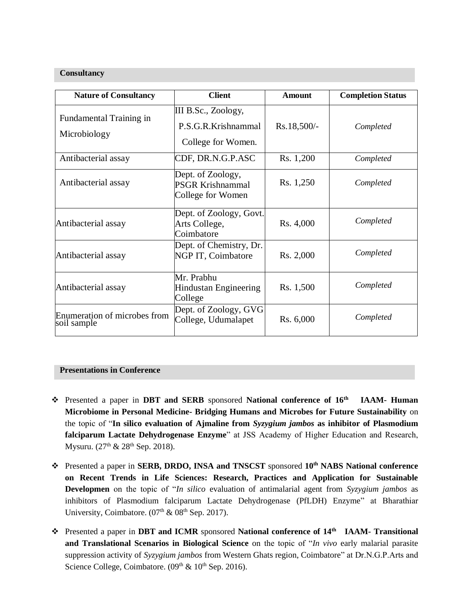#### **Consultancy**

| <b>Nature of Consultancy</b>                | <b>Client</b>                                                     | Amount        | <b>Completion Status</b> |
|---------------------------------------------|-------------------------------------------------------------------|---------------|--------------------------|
| Fundamental Training in<br>Microbiology     | III B.Sc., Zoology,<br>P.S.G.R.Krishnammal<br>College for Women.  | $Rs.18,500/-$ | Completed                |
| Antibacterial assay                         | CDF, DR.N.G.P.ASC                                                 | Rs. 1,200     | Completed                |
| Antibacterial assay                         | Dept. of Zoology,<br><b>PSGR Krishnammal</b><br>College for Women | Rs. 1,250     | Completed                |
| Antibacterial assay                         | Dept. of Zoology, Govt.<br>Arts College,<br>Coimbatore            | Rs. 4,000     | Completed                |
| Antibacterial assay                         | Dept. of Chemistry, Dr.<br>NGP IT, Coimbatore                     | Rs. 2,000     | Completed                |
| Antibacterial assay                         | Mr. Prabhu<br>Hindustan Engineering<br>College                    | Rs. 1,500     | Completed                |
| Enumeration of microbes from<br>soil sample | Dept. of Zoology, GVG<br>College, Udumalapet                      | Rs. 6,000     | Completed                |

# **Presentations in Conference**

- ❖ Presented a paper in **DBT and SERB** sponsored **National conference of 16th IAAM- Human Microbiome in Personal Medicine- Bridging Humans and Microbes for Future Sustainability** on the topic of "**In silico evaluation of Ajmaline from** *Syzygium jambos* **as inhibitor of Plasmodium falciparum Lactate Dehydrogenase Enzyme**" at JSS Academy of Higher Education and Research, Mysuru.  $(27<sup>th</sup> \& 28<sup>th</sup>$  Sep. 2018).
- ❖ Presented a paper in **SERB, DRDO, INSA and TNSCST** sponsored **10th NABS National conference on Recent Trends in Life Sciences: Research, Practices and Application for Sustainable Developmen** on the topic of "*In silico* evaluation of antimalarial agent from *Syzygium jambos* as inhibitors of Plasmodium falciparum Lactate Dehydrogenase (PfLDH) Enzyme" at Bharathiar University, Coimbatore.  $(07<sup>th</sup> \& 08<sup>th</sup>$  Sep. 2017).
- ❖ Presented a paper in **DBT and ICMR** sponsored **National conference of 14th IAAM- Transitional and Translational Scenarios in Biological Science** on the topic of "*In vivo* early malarial parasite suppression activity of *Syzygium jambos* from Western Ghats region, Coimbatore" at Dr.N.G.P.Arts and Science College, Coimbatore.  $(0.9<sup>th</sup> \& 10<sup>th</sup>$  Sep. 2016).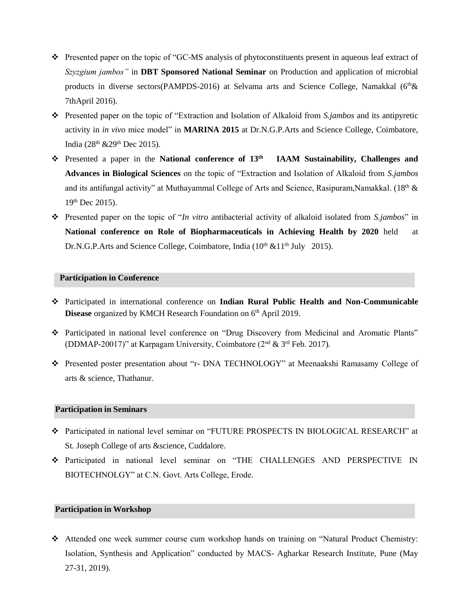- ❖ Presented paper on the topic of "GC-MS analysis of phytoconstituents present in aqueous leaf extract of *Szyzgium jambos"* in **DBT Sponsored National Seminar** on Production and application of microbial products in diverse sectors(PAMPDS-2016) at Selvama arts and Science College, Namakkal ( $6<sup>th</sup>$ & 7thApril 2016).
- ❖ Presented paper on the topic of "Extraction and Isolation of Alkaloid from *S.jambos* and its antipyretic activity in *in vivo* mice model" in **MARINA 2015** at Dr.N.G.P.Arts and Science College, Coimbatore, India ( $28^{th}$  &  $29^{th}$  Dec  $2015$ ).
- ❖ Presented a paper in the **National conference of 13th IAAM Sustainability, Challenges and Advances in Biological Sciences** on the topic of "Extraction and Isolation of Alkaloid from *S.jambos* and its antifungal activity" at Muthayammal College of Arts and Science, Rasipuram, Namakkal. (18<sup>th</sup>  $\&$ 19th Dec 2015).
- ❖ Presented paper on the topic of "*In vitro* antibacterial activity of alkaloid isolated from *S.jambos*" in **National conference on Role of Biopharmaceuticals in Achieving Health by 2020** held at Dr.N.G.P.Arts and Science College, Coimbatore, India  $(10<sup>th</sup> \& 11<sup>th</sup>$  July 2015).

# **Participation in Conference**

- ❖ Participated in international conference on **Indian Rural Public Health and Non-Communicable Disease** organized by KMCH Research Foundation on 6<sup>th</sup> April 2019.
- ❖ Participated in national level conference on "Drug Discovery from Medicinal and Aromatic Plants" (DDMAP-20017)" at Karpagam University, Coimbatore ( $2<sup>nd</sup>$  &  $3<sup>rd</sup>$  Feb. 2017).
- ❖ Presented poster presentation about "r- DNA TECHNOLOGY" at Meenaakshi Ramasamy College of arts & science, Thathanur.

# **Participation in Seminars**

- ❖ Participated in national level seminar on "FUTURE PROSPECTS IN BIOLOGICAL RESEARCH" at St. Joseph College of arts &science, Cuddalore.
- ❖ Participated in national level seminar on "THE CHALLENGES AND PERSPECTIVE IN BIOTECHNOLGY" at C.N. Govt. Arts College, Erode.

#### **Participation in Workshop**

❖ Attended one week summer course cum workshop hands on training on "Natural Product Chemistry: Isolation, Synthesis and Application" conducted by MACS- Agharkar Research Institute, Pune (May 27-31, 2019).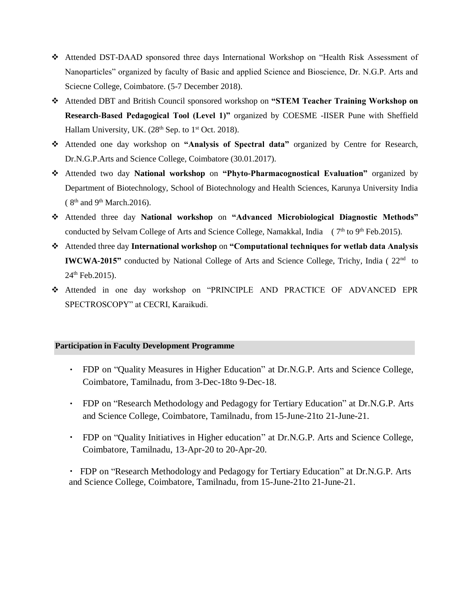- ❖ Attended DST-DAAD sponsored three days International Workshop on "Health Risk Assessment of Nanoparticles" organized by faculty of Basic and applied Science and Bioscience, Dr. N.G.P. Arts and Sciecne College, Coimbatore. (5-7 December 2018).
- ❖ Attended DBT and British Council sponsored workshop on **"STEM Teacher Training Workshop on Research-Based Pedagogical Tool (Level 1)"** organized by COESME -IISER Pune with Sheffield Hallam University, UK.  $(28<sup>th</sup>$  Sep. to  $1<sup>st</sup>$  Oct. 2018).
- ❖ Attended one day workshop on **"Analysis of Spectral data"** organized by Centre for Research, Dr.N.G.P.Arts and Science College, Coimbatore (30.01.2017).
- ❖ Attended two day **National workshop** on **"Phyto-Pharmacognostical Evaluation"** organized by Department of Biotechnology, School of Biotechnology and Health Sciences, Karunya University India  $(8<sup>th</sup>$  and 9<sup>th</sup> March.2016).
- ❖ Attended three day **National workshop** on **"Advanced Microbiological Diagnostic Methods"**  conducted by Selvam College of Arts and Science College, Namakkal, India (7<sup>th</sup> to 9<sup>th</sup> Feb.2015).
- ❖ Attended three day **International workshop** on **"Computational techniques for wetlab data Analysis IWCWA-2015**" conducted by National College of Arts and Science College, Trichy, India (22<sup>nd</sup> to  $24<sup>th</sup>$  Feb. 2015).
- ❖ Attended in one day workshop on "PRINCIPLE AND PRACTICE OF ADVANCED EPR SPECTROSCOPY" at CECRI, Karaikudi.

## **Participation in Faculty Development Programme**

- FDP on "Quality Measures in Higher Education" at Dr.N.G.P. Arts and Science College, Coimbatore, Tamilnadu, from 3-Dec-18to 9-Dec-18.
- FDP on "Research Methodology and Pedagogy for Tertiary Education" at Dr.N.G.P. Arts and Science College, Coimbatore, Tamilnadu, from 15-June-21to 21-June-21.
- FDP on "Quality Initiatives in Higher education" at Dr.N.G.P. Arts and Science College, Coimbatore, Tamilnadu, 13-Apr-20 to 20-Apr-20.

 FDP on "Research Methodology and Pedagogy for Tertiary Education" at Dr.N.G.P. Arts and Science College, Coimbatore, Tamilnadu, from 15-June-21to 21-June-21.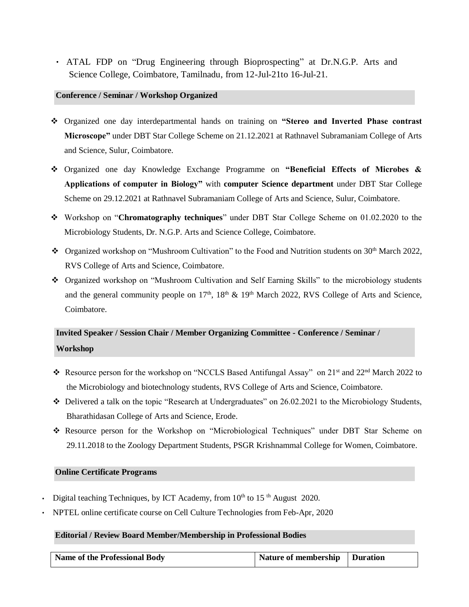ATAL FDP on "Drug Engineering through Bioprospecting" at Dr.N.G.P. Arts and Science College, Coimbatore, Tamilnadu, from 12-Jul-21to 16-Jul-21.

#### **Conference / Seminar / Workshop Organized**

- ❖ Organized one day interdepartmental hands on training on **"Stereo and Inverted Phase contrast Microscope"** under DBT Star College Scheme on 21.12.2021 at Rathnavel Subramaniam College of Arts and Science, Sulur, Coimbatore.
- ❖ Organized one day Knowledge Exchange Programme on **"Beneficial Effects of Microbes & Applications of computer in Biology"** with **computer Science department** under DBT Star College Scheme on 29.12.2021 at Rathnavel Subramaniam College of Arts and Science, Sulur, Coimbatore.
- ❖ Workshop on "**Chromatography techniques**" under DBT Star College Scheme on 01.02.2020 to the Microbiology Students, Dr. N.G.P. Arts and Science College, Coimbatore.
- ❖ Organized workshop on "Mushroom Cultivation" to the Food and Nutrition students on 30th March 2022, RVS College of Arts and Science, Coimbatore.
- ❖ Organized workshop on "Mushroom Cultivation and Self Earning Skills" to the microbiology students and the general community people on  $17<sup>th</sup>$ ,  $18<sup>th</sup>$  &  $19<sup>th</sup>$  March 2022, RVS College of Arts and Science, Coimbatore.

# **Invited Speaker / Session Chair / Member Organizing Committee - Conference / Seminar / Workshop**

- ❖ Resource person for the workshop on "NCCLS Based Antifungal Assay" on 21st and 22nd March 2022 to the Microbiology and biotechnology students, RVS College of Arts and Science, Coimbatore.
- ❖ Delivered a talk on the topic "Research at Undergraduates" on 26.02.2021 to the Microbiology Students, Bharathidasan College of Arts and Science, Erode.
- ❖ Resource person for the Workshop on "Microbiological Techniques" under DBT Star Scheme on 29.11.2018 to the Zoology Department Students, PSGR Krishnammal College for Women, Coimbatore.

## **Online Certificate Programs**

- Digital teaching Techniques, by ICT Academy, from  $10<sup>th</sup>$  to 15<sup>th</sup> August 2020.
- NPTEL online certificate course on Cell Culture Technologies from Feb-Apr, 2020

## **Editorial / Review Board Member/Membership in Professional Bodies**

| Name of the Professional Body | Nature of membership   Duration |  |
|-------------------------------|---------------------------------|--|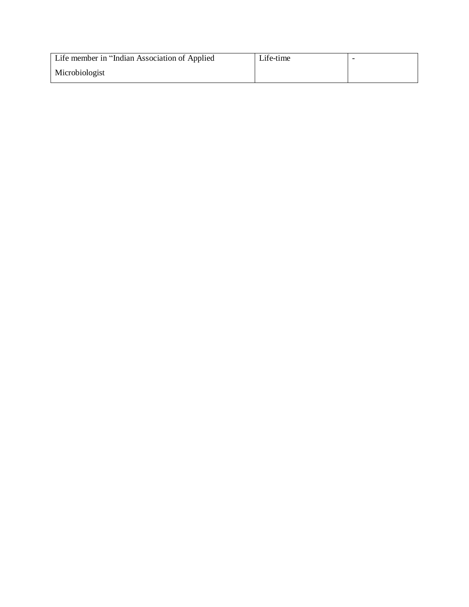| Life member in "Indian Association of Applied | Life-time |  |
|-----------------------------------------------|-----------|--|
| Microbiologist                                |           |  |